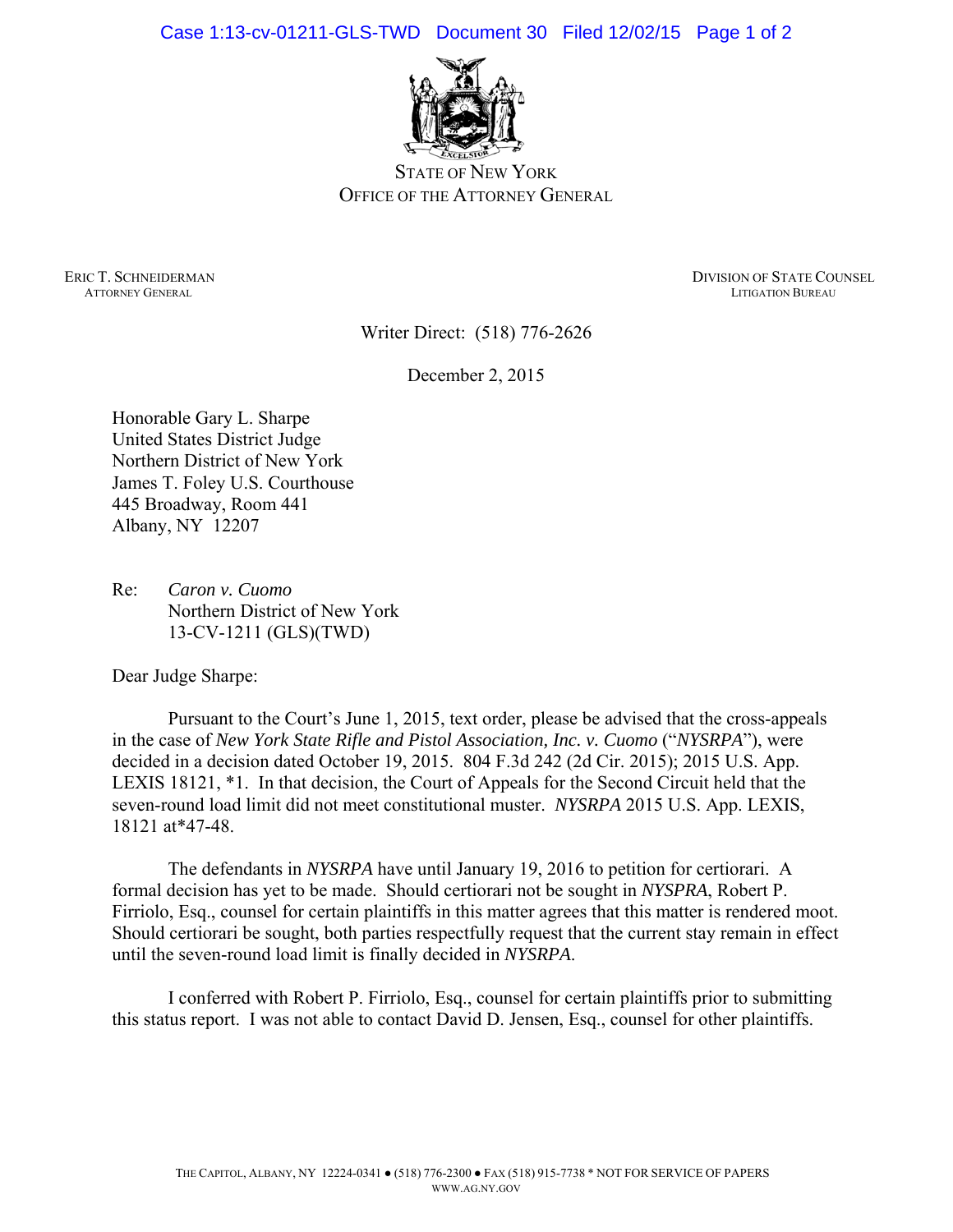Case 1:13-cv-01211-GLS-TWD Document 30 Filed 12/02/15 Page 1 of 2



STATE OF NEW YORK OFFICE OF THE ATTORNEY GENERAL

**ATTORNEY GENERAL** 

ERIC T. SCHNEIDERMAN DIVISION OF STATE COUNSEL ATTORNEY GENERAL ATTORNEY GENERAL PUBLICATION OF STATE COUNSEL

Writer Direct: (518) 776-2626

December 2, 2015

Honorable Gary L. Sharpe United States District Judge Northern District of New York James T. Foley U.S. Courthouse 445 Broadway, Room 441 Albany, NY 12207

Re: *Caron v. Cuomo*  Northern District of New York 13-CV-1211 (GLS)(TWD)

Dear Judge Sharpe:

 Pursuant to the Court's June 1, 2015, text order, please be advised that the cross-appeals in the case of *New York State Rifle and Pistol Association, Inc. v. Cuomo* ("*NYSRPA*"), were decided in a decision dated October 19, 2015. 804 F.3d 242 (2d Cir. 2015); 2015 U.S. App. LEXIS 18121, \*1. In that decision, the Court of Appeals for the Second Circuit held that the seven-round load limit did not meet constitutional muster. *NYSRPA* 2015 U.S. App. LEXIS, 18121 at\*47-48.

 The defendants in *NYSRPA* have until January 19, 2016 to petition for certiorari. A formal decision has yet to be made. Should certiorari not be sought in *NYSPRA*, Robert P. Firriolo, Esq., counsel for certain plaintiffs in this matter agrees that this matter is rendered moot. Should certiorari be sought, both parties respectfully request that the current stay remain in effect until the seven-round load limit is finally decided in *NYSRPA*.

 I conferred with Robert P. Firriolo, Esq., counsel for certain plaintiffs prior to submitting this status report. I was not able to contact David D. Jensen, Esq., counsel for other plaintiffs.